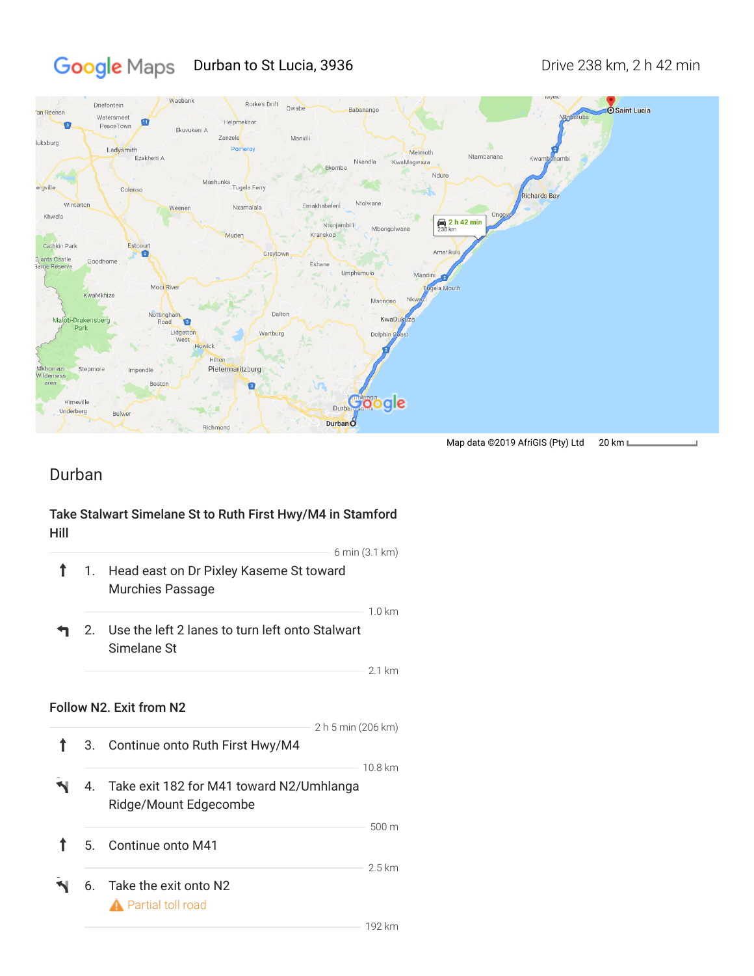# Google Maps Durban to St Lucia, 3936 Drive 238 km, 2 h 42 min



## Durban

### Take Stalwart Simelane St to Ruth First Hwy/M4 in Stamford Hill

|    |                                                                                  | 6 min (3.1 km)   |
|----|----------------------------------------------------------------------------------|------------------|
| 1. | Head east on Dr Pixley Kaseme St toward<br>Murchies Passage                      |                  |
| 2. | Use the left 2 lanes to turn left onto Stalwart<br>Simelane St                   | $1.0 \text{ km}$ |
|    |                                                                                  | $2.1 \text{ km}$ |
| 3. | Follow N2. Exit from N2<br>2 h 5 min (206 km)<br>Continue onto Ruth First Hwy/M4 |                  |
| 4. | Take exit 182 for M41 toward N2/Umhlanga<br>Ridge/Mount Edgecombe                | 10.8 km          |
| 5. | Continue onto M41                                                                | 500 m            |
|    |                                                                                  | 2.5 km           |
| 6. | Take the exit onto N2<br>Partial toll road                                       |                  |